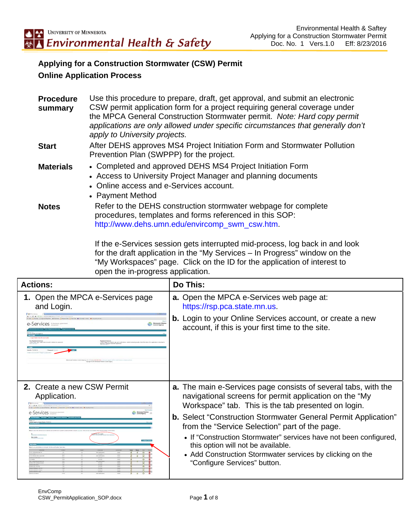## **Applying for a Construction Stormwater (CSW) Permit Online Application Process**

| <b>Procedure</b><br>summary | Use this procedure to prepare, draft, get approval, and submit an electronic<br>CSW permit application form for a project requiring general coverage under<br>the MPCA General Construction Stormwater permit. Note: Hard copy permit<br>applications are only allowed under specific circumstances that generally don't<br>apply to University projects. |
|-----------------------------|-----------------------------------------------------------------------------------------------------------------------------------------------------------------------------------------------------------------------------------------------------------------------------------------------------------------------------------------------------------|
| <b>Start</b>                | After DEHS approves MS4 Project Initiation Form and Stormwater Pollution<br>Prevention Plan (SWPPP) for the project.                                                                                                                                                                                                                                      |
| <b>Materials</b>            | • Completed and approved DEHS MS4 Project Initiation Form<br>• Access to University Project Manager and planning documents<br>• Online access and e-Services account.<br>• Payment Method                                                                                                                                                                 |
| <b>Notes</b>                | Refer to the DEHS construction stormwater webpage for complete<br>procedures, templates and forms referenced in this SOP:<br>http://www.dehs.umn.edu/envircomp_swm_csw.htm.                                                                                                                                                                               |

If the e-Services session gets interrupted mid-process, log back in and look for the draft application in the "My Services – In Progress" window on the "My Workspaces" page. Click on the ID for the application of interest to open the in-progress application.

| <b>Actions:</b>                                                                                                                   | Do This:                                                                                                                                                                                             |
|-----------------------------------------------------------------------------------------------------------------------------------|------------------------------------------------------------------------------------------------------------------------------------------------------------------------------------------------------|
| 1. Open the MPCA e-Services page<br>and Login.                                                                                    | <b>a.</b> Open the MPCA e-Services web page at:<br>https://rsp.pca.state.mn.us.                                                                                                                      |
| Minnesota Pollume<br>Cantrol Agency<br>Services <b>Services</b><br>Leased Agency 1001-727 (2018) 846 AM HOTEL + Convention Agency | <b>b.</b> Login to your Online Services account, or create a new<br>account, if this is your first time to the site.                                                                                 |
| 2. Create a new CSW Permit<br>Application.                                                                                        | <b>a.</b> The main e-Services page consists of several tabs, with the<br>navigational screens for permit application on the "My<br>Workspace" tab. This is the tab presented on login.               |
|                                                                                                                                   | <b>b.</b> Select "Construction Stormwater General Permit Application"<br>from the "Service Selection" part of the page.                                                                              |
|                                                                                                                                   | • If "Construction Stormwater" services have not been configured,<br>this option will not be available.<br>• Add Construction Stormwater services by clicking on the<br>"Configure Services" button. |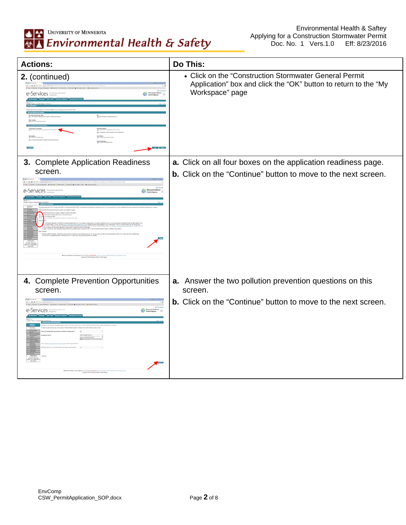

| <b>Actions:</b>                                 | Do This:                                                                                                                                     |
|-------------------------------------------------|----------------------------------------------------------------------------------------------------------------------------------------------|
| 2. (continued)                                  | • Click on the "Construction Stormwater General Permit<br>Application" box and click the "OK" button to return to the "My<br>Workspace" page |
| 3. Complete Application Readiness               | a. Click on all four boxes on the application readiness page.                                                                                |
| screen.                                         | <b>b.</b> Click on the "Continue" button to move to the next screen.                                                                         |
| 4. Complete Prevention Opportunities<br>screen. | a. Answer the two pollution prevention questions on this<br>screen.                                                                          |
| e-Services                                      | <b>b.</b> Click on the "Continue" button to move to the next screen.                                                                         |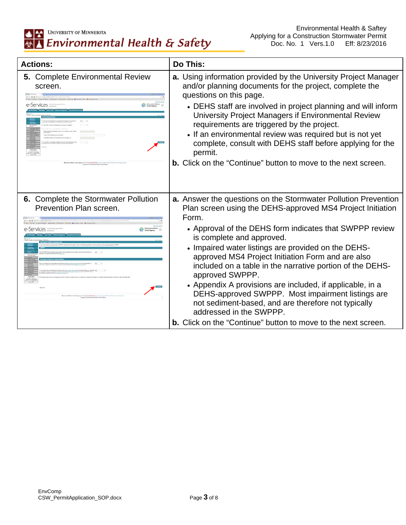## **ALAN UNIVERSITY OF MINNESOTA**<br>**<b>Environmental Health & Safety**

| <b>Actions:</b>                                                 | Do This:                                                                                                                                                                                                                                                                                                                                                                                                                                                                                                                                                                                                                                                                                              |
|-----------------------------------------------------------------|-------------------------------------------------------------------------------------------------------------------------------------------------------------------------------------------------------------------------------------------------------------------------------------------------------------------------------------------------------------------------------------------------------------------------------------------------------------------------------------------------------------------------------------------------------------------------------------------------------------------------------------------------------------------------------------------------------|
| 5. Complete Environmental Review<br>screen.                     | a. Using information provided by the University Project Manager<br>and/or planning documents for the project, complete the<br>questions on this page.<br>• DEHS staff are involved in project planning and will inform<br>University Project Managers if Environmental Review<br>requirements are triggered by the project.<br>• If an environmental review was required but is not yet<br>complete, consult with DEHS staff before applying for the<br>permit.<br><b>b.</b> Click on the "Continue" button to move to the next screen.                                                                                                                                                               |
| 6. Complete the Stormwater Pollution<br>Prevention Plan screen. | a. Answer the questions on the Stormwater Pollution Prevention<br>Plan screen using the DEHS-approved MS4 Project Initiation<br>Form.<br>• Approval of the DEHS form indicates that SWPPP review<br>is complete and approved.<br>• Impaired water listings are provided on the DEHS-<br>approved MS4 Project Initiation Form and are also<br>included on a table in the narrative portion of the DEHS-<br>approved SWPPP.<br>• Appendix A provisions are included, if applicable, in a<br>DEHS-approved SWPPP. Most impairment listings are<br>not sediment-based, and are therefore not typically<br>addressed in the SWPPP.<br><b>b.</b> Click on the "Continue" button to move to the next screen. |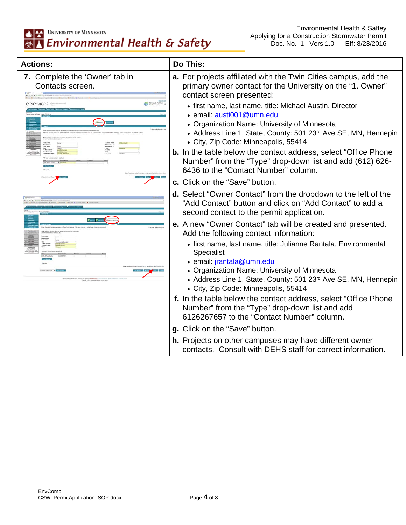| <b>Actions:</b>                                    | Do This:                                                                                                                                                                                                                                                                                                                                                                                                                                                                                                                                                                                             |
|----------------------------------------------------|------------------------------------------------------------------------------------------------------------------------------------------------------------------------------------------------------------------------------------------------------------------------------------------------------------------------------------------------------------------------------------------------------------------------------------------------------------------------------------------------------------------------------------------------------------------------------------------------------|
| 7. Complete the 'Owner' tab in<br>Contacts screen. | <b>a.</b> For projects affiliated with the Twin Cities campus, add the<br>primary owner contact for the University on the "1. Owner"<br>contact screen presented:<br>• first name, last name, title: Michael Austin, Director<br>• email: austi001@umn.edu<br>• Organization Name: University of Minnesota<br>• Address Line 1, State, County: 501 23rd Ave SE, MN, Hennepin<br>• City, Zip Code: Minneapolis, 55414<br><b>b.</b> In the table below the contact address, select "Office Phone"<br>Number" from the "Type" drop-down list and add (612) 626-<br>6436 to the "Contact Number" column. |
|                                                    | c. Click on the "Save" button.<br>d. Select "Owner Contact" from the dropdown to the left of the<br>"Add Contact" button and click on "Add Contact" to add a<br>second contact to the permit application.                                                                                                                                                                                                                                                                                                                                                                                            |
|                                                    | e. A new "Owner Contact" tab will be created and presented.<br>Add the following contact information:<br>• first name, last name, title: Julianne Rantala, Environmental<br>Specialist<br>· email: jrantala@umn.edu<br>• Organization Name: University of Minnesota<br>• Address Line 1, State, County: 501 23rd Ave SE, MN, Hennepin<br>• City, Zip Code: Minneapolis, 55414<br>f. In the table below the contact address, select "Office Phone"<br>Number" from the "Type" drop-down list and add<br>6126267657 to the "Contact Number" column.                                                    |
|                                                    | g. Click on the "Save" button.<br>h. Projects on other campuses may have different owner<br>contacts. Consult with DEHS staff for correct information.                                                                                                                                                                                                                                                                                                                                                                                                                                               |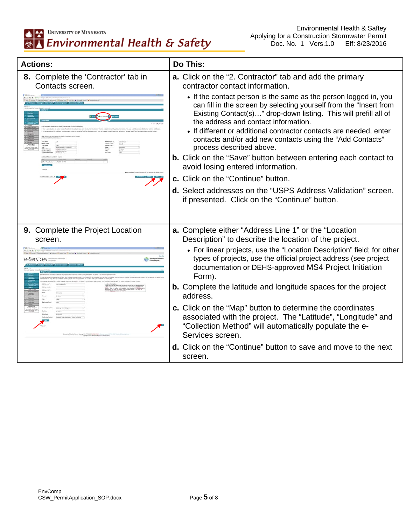| <b>Actions:</b>                                         | Do This:                                                                                                                                                                                                                                                                                                                                                                                                                                                                                   |
|---------------------------------------------------------|--------------------------------------------------------------------------------------------------------------------------------------------------------------------------------------------------------------------------------------------------------------------------------------------------------------------------------------------------------------------------------------------------------------------------------------------------------------------------------------------|
| 8. Complete the 'Contractor' tab in<br>Contacts screen. | <b>a.</b> Click on the "2. Contractor" tab and add the primary<br>contractor contact information.                                                                                                                                                                                                                                                                                                                                                                                          |
|                                                         | • If the contact person is the same as the person logged in, you<br>can fill in the screen by selecting yourself from the "Insert from<br>Existing Contact(s)" drop-down listing. This will prefill all of<br>the address and contact information.<br>• If different or additional contractor contacts are needed, enter<br>contacts and/or add new contacts using the "Add Contacts"<br>process described above.<br><b>b.</b> Click on the "Save" button between entering each contact to |
|                                                         | avoid losing entered information.                                                                                                                                                                                                                                                                                                                                                                                                                                                          |
|                                                         | c. Click on the "Continue" button.                                                                                                                                                                                                                                                                                                                                                                                                                                                         |
|                                                         | d. Select addresses on the "USPS Address Validation" screen,<br>if presented. Click on the "Continue" button.                                                                                                                                                                                                                                                                                                                                                                              |
| 9. Complete the Project Location<br>screen.             | <b>a.</b> Complete either "Address Line 1" or the "Location<br>Description" to describe the location of the project.                                                                                                                                                                                                                                                                                                                                                                       |
|                                                         | • For linear projects, use the "Location Description" field; for other<br>types of projects, use the official project address (see project<br>documentation or DEHS-approved MS4 Project Initiation<br>Form).                                                                                                                                                                                                                                                                              |
|                                                         | <b>b.</b> Complete the latitude and longitude spaces for the project<br>address.                                                                                                                                                                                                                                                                                                                                                                                                           |
|                                                         | c. Click on the "Map" button to determine the coordinates<br>associated with the project. The "Latitude", "Longitude" and<br>"Collection Method" will automatically populate the e-<br>Services screen.                                                                                                                                                                                                                                                                                    |
|                                                         | <b>d.</b> Click on the "Continue" button to save and move to the next<br>screen.                                                                                                                                                                                                                                                                                                                                                                                                           |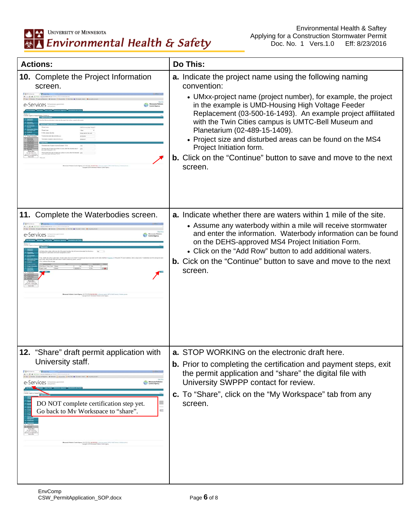## UNIVERSITY OF MINNESOTA Environmental Health & Safety

| <b>Actions:</b>                                                                                                                                                                                                                                                                                                                                                                                                                       | <b>Do This:</b>                                                                                                                                                                                                                                                                                                                                                                                                                                                                                                                            |
|---------------------------------------------------------------------------------------------------------------------------------------------------------------------------------------------------------------------------------------------------------------------------------------------------------------------------------------------------------------------------------------------------------------------------------------|--------------------------------------------------------------------------------------------------------------------------------------------------------------------------------------------------------------------------------------------------------------------------------------------------------------------------------------------------------------------------------------------------------------------------------------------------------------------------------------------------------------------------------------------|
| <b>10.</b> Complete the Project Information<br>screen.<br>e-Services:                                                                                                                                                                                                                                                                                                                                                                 | <b>a.</b> Indicate the project name using the following naming<br>convention:<br>• UMxx-project name (project number), for example, the project<br>in the example is UMD-Housing High Voltage Feeder<br>Replacement (03-500-16-1493). An example project affilitated<br>with the Twin Cities campus is UMTC-Bell Museum and<br>Planetarium (02-489-15-1409).<br>• Project size and disturbed areas can be found on the MS4<br>Project Initiation form.<br><b>b.</b> Click on the "Continue" button to save and move to the next<br>screen. |
| 11. Complete the Waterbodies screen.                                                                                                                                                                                                                                                                                                                                                                                                  | <b>a.</b> Indicate whether there are waters within 1 mile of the site.<br>• Assume any waterbody within a mile will receive stormwater<br>and enter the information. Waterbody information can be found<br>on the DEHS-approved MS4 Project Initiation Form.<br>• Click on the "Add Row" button to add additional waters.<br><b>b.</b> Cick on the "Continue" button to save and move to the next<br>screen.                                                                                                                               |
| 12<br>"Share" draft permit application with<br>University staff.<br>Minnesota Pulk<br>Cardrel Agency<br>e-Services =<br>apt <sup>ro</sup> the Frenc <sup>o</sup> Electron Spraton <sup>2</sup> De<br>DO NOT complete certification step yet.<br><b>COL</b><br>Go back to My Workspace to "share".<br>t Pollution Cambel Agency (163-757-2728) and AM (1983) is the core current (1<br>Clayright & 2016 Mercuria Pollution Cambridgets | STOP WORKING on the electronic draft here<br>а.<br><b>b.</b> Prior to completing the certification and payment steps, exit<br>the permit application and "share" the digital file with<br>University SWPPP contact for review.<br>c. To "Share", click on the "My Workspace" tab from any<br>screen.                                                                                                                                                                                                                                       |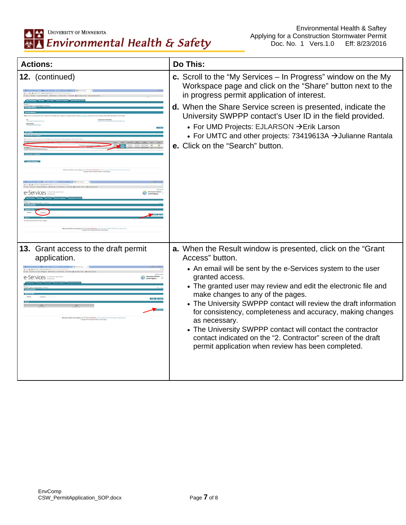| <b>Actions:</b>                                                    | Do This:                                                                                                                                                                                                                                                                                                                                                                                                                                                                                                                                                                                                         |
|--------------------------------------------------------------------|------------------------------------------------------------------------------------------------------------------------------------------------------------------------------------------------------------------------------------------------------------------------------------------------------------------------------------------------------------------------------------------------------------------------------------------------------------------------------------------------------------------------------------------------------------------------------------------------------------------|
| 12. (continued)<br><b>A-SAIVICAS</b>                               | c. Scroll to the "My Services – In Progress" window on the My<br>Workspace page and click on the "Share" button next to the<br>in progress permit application of interest.<br>d. When the Share Service screen is presented, indicate the<br>University SWPPP contact's User ID in the field provided.<br>• For UMD Projects: EJLARSON → Erik Larson<br>• For UMTC and other projects: 73419613A → Julianne Rantala<br>e. Click on the "Search" button.                                                                                                                                                          |
| 13. Grant access to the draft permit<br>application.<br>e-Services | a. When the Result window is presented, click on the "Grant"<br>Access" button.<br>• An email will be sent by the e-Services system to the user<br>granted access.<br>• The granted user may review and edit the electronic file and<br>make changes to any of the pages.<br>• The University SWPPP contact will review the draft information<br>for consistency, completeness and accuracy, making changes<br>as necessary.<br>• The University SWPPP contact will contact the contractor<br>contact indicated on the "2. Contractor" screen of the draft<br>permit application when review has been completed. |
|                                                                    |                                                                                                                                                                                                                                                                                                                                                                                                                                                                                                                                                                                                                  |